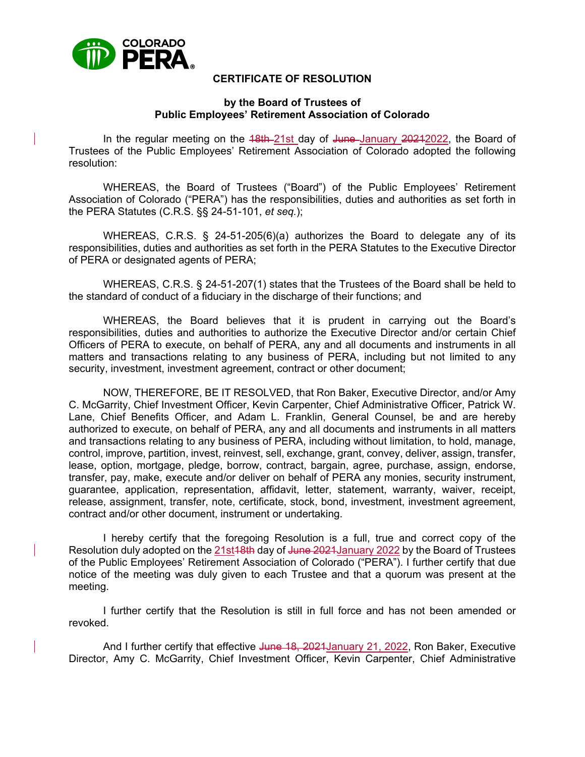

## **CERTIFICATE OF RESOLUTION**

## **by the Board of Trustees of Public Employees' Retirement Association of Colorado**

In the regular meeting on the 48th-21st day of June January 20212022, the Board of Trustees of the Public Employees' Retirement Association of Colorado adopted the following resolution:

WHEREAS, the Board of Trustees ("Board") of the Public Employees' Retirement Association of Colorado ("PERA") has the responsibilities, duties and authorities as set forth in the PERA Statutes (C.R.S. §§ 24-51-101, *et seq.*);

WHEREAS, C.R.S. § 24-51-205(6)(a) authorizes the Board to delegate any of its responsibilities, duties and authorities as set forth in the PERA Statutes to the Executive Director of PERA or designated agents of PERA;

WHEREAS, C.R.S. § 24-51-207(1) states that the Trustees of the Board shall be held to the standard of conduct of a fiduciary in the discharge of their functions; and

WHEREAS, the Board believes that it is prudent in carrying out the Board's responsibilities, duties and authorities to authorize the Executive Director and/or certain Chief Officers of PERA to execute, on behalf of PERA, any and all documents and instruments in all matters and transactions relating to any business of PERA, including but not limited to any security, investment, investment agreement, contract or other document;

NOW, THEREFORE, BE IT RESOLVED, that Ron Baker, Executive Director, and/or Amy C. McGarrity, Chief Investment Officer, Kevin Carpenter, Chief Administrative Officer, Patrick W. Lane, Chief Benefits Officer, and Adam L. Franklin, General Counsel, be and are hereby authorized to execute, on behalf of PERA, any and all documents and instruments in all matters and transactions relating to any business of PERA, including without limitation, to hold, manage, control, improve, partition, invest, reinvest, sell, exchange, grant, convey, deliver, assign, transfer, lease, option, mortgage, pledge, borrow, contract, bargain, agree, purchase, assign, endorse, transfer, pay, make, execute and/or deliver on behalf of PERA any monies, security instrument, guarantee, application, representation, affidavit, letter, statement, warranty, waiver, receipt, release, assignment, transfer, note, certificate, stock, bond, investment, investment agreement, contract and/or other document, instrument or undertaking.

I hereby certify that the foregoing Resolution is a full, true and correct copy of the Resolution duly adopted on the 21st 18th day of June 2021 January 2022 by the Board of Trustees of the Public Employees' Retirement Association of Colorado ("PERA"). I further certify that due notice of the meeting was duly given to each Trustee and that a quorum was present at the meeting.

I further certify that the Resolution is still in full force and has not been amended or revoked.

And I further certify that effective June 18, 2021January 21, 2022, Ron Baker, Executive Director, Amy C. McGarrity, Chief Investment Officer, Kevin Carpenter, Chief Administrative